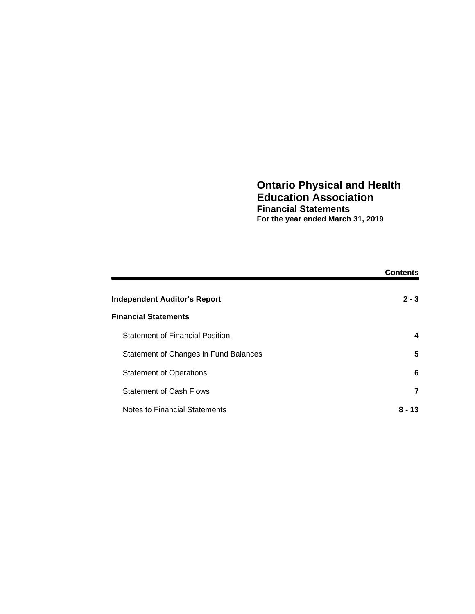### **Ontario Physical and Health Education Association Financial Statements For the year ended March 31, 2019**

|                                        | <b>Contents</b> |
|----------------------------------------|-----------------|
| <b>Independent Auditor's Report</b>    | $2 - 3$         |
| <b>Financial Statements</b>            |                 |
| <b>Statement of Financial Position</b> | 4               |
| Statement of Changes in Fund Balances  | 5               |
| <b>Statement of Operations</b>         | 6               |
| <b>Statement of Cash Flows</b>         | 7               |
| <b>Notes to Financial Statements</b>   | 8 - 13          |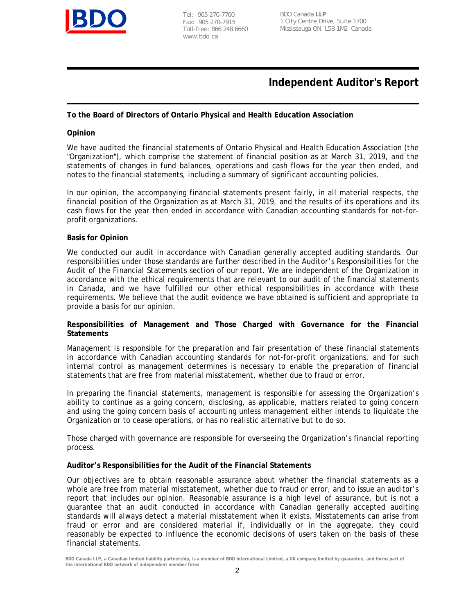

Tel: 905 270-7700 Fax: 905 270-7915 Toll-free: 866 248 6660 www.bdo.ca

### **Independent Auditor's Report**

#### **To the Board of Directors of Ontario Physical and Health Education Association**

#### **Opinion**

We have audited the financial statements of Ontario Physical and Health Education Association (the "Organization"), which comprise the statement of financial position as at March 31, 2019, and the statements of changes in fund balances, operations and cash flows for the year then ended, and notes to the financial statements, including a summary of significant accounting policies.

In our opinion, the accompanying financial statements present fairly, in all material respects, the financial position of the Organization as at March 31, 2019, and the results of its operations and its cash flows for the year then ended in accordance with Canadian accounting standards for not-forprofit organizations.

#### **Basis for Opinion**

We conducted our audit in accordance with Canadian generally accepted auditing standards. Our responsibilities under those standards are further described in the *Auditor's Responsibilities for the Audit of the Financial Statements* section of our report. We are independent of the Organization in accordance with the ethical requirements that are relevant to our audit of the financial statements in Canada, and we have fulfilled our other ethical responsibilities in accordance with these requirements. We believe that the audit evidence we have obtained is sufficient and appropriate to provide a basis for our opinion.

#### **Responsibilities of Management and Those Charged with Governance for the Financial Statements**

Management is responsible for the preparation and fair presentation of these financial statements in accordance with Canadian accounting standards for not-for-profit organizations, and for such internal control as management determines is necessary to enable the preparation of financial statements that are free from material misstatement, whether due to fraud or error.

In preparing the financial statements, management is responsible for assessing the Organization's ability to continue as a going concern, disclosing, as applicable, matters related to going concern and using the going concern basis of accounting unless management either intends to liquidate the Organization or to cease operations, or has no realistic alternative but to do so.

Those charged with governance are responsible for overseeing the Organization's financial reporting process.

#### **Auditor's Responsibilities for the Audit of the Financial Statements**

Our objectives are to obtain reasonable assurance about whether the financial statements as a whole are free from material misstatement, whether due to fraud or error, and to issue an auditor's report that includes our opinion. Reasonable assurance is a high level of assurance, but is not a guarantee that an audit conducted in accordance with Canadian generally accepted auditing standards will always detect a material misstatement when it exists. Misstatements can arise from fraud or error and are considered material if, individually or in the aggregate, they could reasonably be expected to influence the economic decisions of users taken on the basis of these financial statements.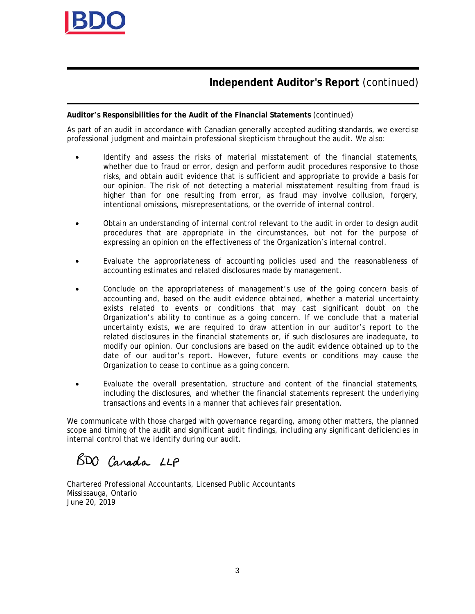

### **Independent Auditor's Report** (continued)

#### **Auditor's Responsibilities for the Audit of the Financial Statements** (continued)

As part of an audit in accordance with Canadian generally accepted auditing standards, we exercise professional judgment and maintain professional skepticism throughout the audit. We also:

- Identify and assess the risks of material misstatement of the financial statements, whether due to fraud or error, design and perform audit procedures responsive to those risks, and obtain audit evidence that is sufficient and appropriate to provide a basis for our opinion. The risk of not detecting a material misstatement resulting from fraud is higher than for one resulting from error, as fraud may involve collusion, forgery, intentional omissions, misrepresentations, or the override of internal control.
- Obtain an understanding of internal control relevant to the audit in order to design audit procedures that are appropriate in the circumstances, but not for the purpose of expressing an opinion on the effectiveness of the Organization's internal control.
- Evaluate the appropriateness of accounting policies used and the reasonableness of accounting estimates and related disclosures made by management.
- Conclude on the appropriateness of management's use of the going concern basis of accounting and, based on the audit evidence obtained, whether a material uncertainty exists related to events or conditions that may cast significant doubt on the Organization's ability to continue as a going concern. If we conclude that a material uncertainty exists, we are required to draw attention in our auditor's report to the related disclosures in the financial statements or, if such disclosures are inadequate, to modify our opinion. Our conclusions are based on the audit evidence obtained up to the date of our auditor's report. However, future events or conditions may cause the Organization to cease to continue as a going concern.
- Evaluate the overall presentation, structure and content of the financial statements, including the disclosures, and whether the financial statements represent the underlying transactions and events in a manner that achieves fair presentation.

We communicate with those charged with governance regarding, among other matters, the planned scope and timing of the audit and significant audit findings, including any significant deficiencies in internal control that we identify during our audit.

BDO Canada LLP

Chartered Professional Accountants, Licensed Public Accountants Mississauga, Ontario June 20, 2019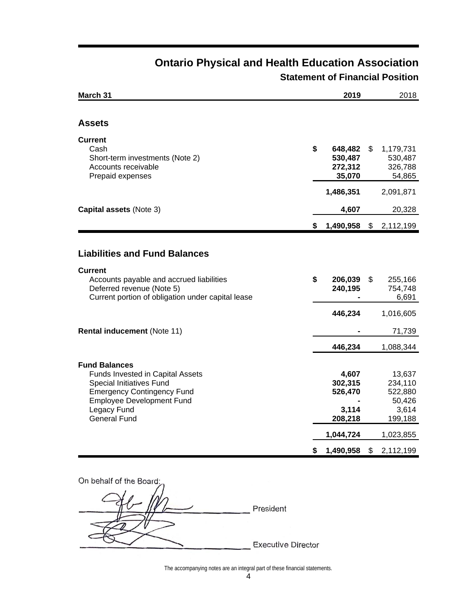# **Ontario Physical and Health Education Association**

### **Statement of Financial Position**

| 2019                                                                                                                                                                                                                                                                                          |              | 2018                                                                                 |
|-----------------------------------------------------------------------------------------------------------------------------------------------------------------------------------------------------------------------------------------------------------------------------------------------|--------------|--------------------------------------------------------------------------------------|
|                                                                                                                                                                                                                                                                                               |              |                                                                                      |
|                                                                                                                                                                                                                                                                                               |              |                                                                                      |
| \$<br>648,482<br>530,487<br>Short-term investments (Note 2)<br>Accounts receivable<br>272,312<br>Prepaid expenses<br>35,070                                                                                                                                                                   | \$           | 1,179,731<br>530,487<br>326,788<br>54,865                                            |
| 1,486,351                                                                                                                                                                                                                                                                                     |              | 2,091,871                                                                            |
| Capital assets (Note 3)<br>4,607                                                                                                                                                                                                                                                              |              | 20,328                                                                               |
| 1,490,958<br>\$                                                                                                                                                                                                                                                                               | $\mathbb{S}$ | 2,112,199                                                                            |
|                                                                                                                                                                                                                                                                                               |              |                                                                                      |
| <b>Liabilities and Fund Balances</b>                                                                                                                                                                                                                                                          |              |                                                                                      |
| \$<br>Accounts payable and accrued liabilities<br>206,039<br>Deferred revenue (Note 5)<br>240,195<br>Current portion of obligation under capital lease                                                                                                                                        | \$           | 255,166<br>754,748<br>6,691                                                          |
| 446,234                                                                                                                                                                                                                                                                                       |              | 1,016,605                                                                            |
| <b>Rental inducement (Note 11)</b>                                                                                                                                                                                                                                                            |              | 71,739                                                                               |
| 446,234                                                                                                                                                                                                                                                                                       |              | 1,088,344                                                                            |
| <b>Fund Balances</b><br>Funds Invested in Capital Assets<br>4,607<br><b>Special Initiatives Fund</b><br>302,315<br><b>Emergency Contingency Fund</b><br>526,470<br><b>Employee Development Fund</b><br>Legacy Fund<br>3,114<br><b>General Fund</b><br>208,218<br>1,044,724<br>1,490,958<br>S. | \$           | 13,637<br>234,110<br>522,880<br>50,426<br>3,614<br>199,188<br>1,023,855<br>2,112,199 |
|                                                                                                                                                                                                                                                                                               |              |                                                                                      |

On behalf of the Board: President Executive Director

The accompanying notes are an integral part of these financial statements.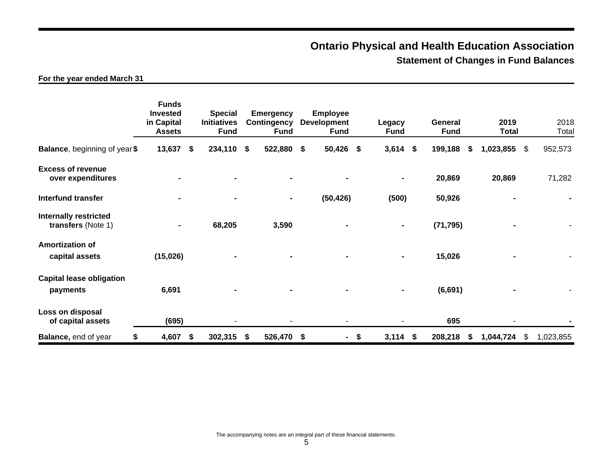### **Ontario Physical and Health Education Association Statement of Changes in Fund Balances**

#### **For the year ended March 31**

|                                                    | <b>Funds</b><br><b>Invested</b><br>in Capital<br><b>Assets</b> |   | <b>Special</b><br><b>Initiatives</b><br><b>Fund</b> |    | <b>Emergency</b><br><b>Contingency</b><br><b>Fund</b> | <b>Employee</b><br><b>Development</b><br><b>Fund</b> |           |      | Legacy<br><b>Fund</b> |    | General<br><b>Fund</b> |    |                |    | 2019<br><b>Total</b> |  | 2018<br>Total |
|----------------------------------------------------|----------------------------------------------------------------|---|-----------------------------------------------------|----|-------------------------------------------------------|------------------------------------------------------|-----------|------|-----------------------|----|------------------------|----|----------------|----|----------------------|--|---------------|
| <b>Balance, beginning of year \$</b>               | 13,637                                                         | S | 234,110                                             | \$ | 522,880                                               | \$                                                   | 50,426 \$ |      | $3,614$ \$            |    | 199,188                | S. | 1,023,855      | \$ | 952,573              |  |               |
| <b>Excess of revenue</b><br>over expenditures      |                                                                |   |                                                     |    |                                                       |                                                      |           |      |                       |    | 20,869                 |    | 20,869         |    | 71,282               |  |               |
| <b>Interfund transfer</b>                          |                                                                |   |                                                     |    | $\blacksquare$                                        |                                                      | (50, 426) |      | (500)                 |    | 50,926                 |    |                |    |                      |  |               |
| <b>Internally restricted</b><br>transfers (Note 1) | $\blacksquare$                                                 |   | 68,205                                              |    | 3,590                                                 |                                                      |           |      |                       |    | (71, 795)              |    | $\blacksquare$ |    |                      |  |               |
| <b>Amortization of</b><br>capital assets           | (15,026)                                                       |   |                                                     |    |                                                       |                                                      |           |      |                       |    | 15,026                 |    |                |    |                      |  |               |
| <b>Capital lease obligation</b><br>payments        | 6,691                                                          |   |                                                     |    |                                                       |                                                      |           |      |                       |    | (6, 691)               |    |                |    |                      |  |               |
| Loss on disposal<br>of capital assets              | (695)                                                          |   |                                                     |    |                                                       |                                                      |           |      |                       |    | 695                    |    |                |    |                      |  |               |
| Balance, end of year                               | 4,607                                                          | S | 302,315                                             | S. | 526,470 \$                                            |                                                      |           | - \$ | 3,114                 | \$ | 208,218                | æ. | 1,044,724      | S  | 1,023,855            |  |               |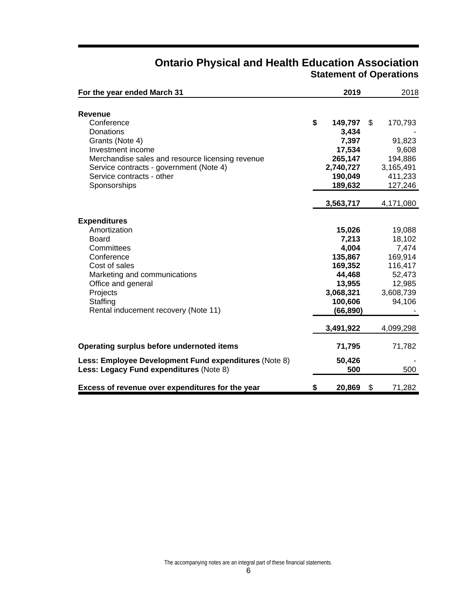### **Ontario Physical and Health Education Association Statement of Operations**

| For the year ended March 31                                                                                                                                                                                                   | 2019                                                                                                    | 2018                                                                                       |
|-------------------------------------------------------------------------------------------------------------------------------------------------------------------------------------------------------------------------------|---------------------------------------------------------------------------------------------------------|--------------------------------------------------------------------------------------------|
| <b>Revenue</b><br>Conference<br>Donations<br>Grants (Note 4)<br>Investment income<br>Merchandise sales and resource licensing revenue<br>Service contracts - government (Note 4)<br>Service contracts - other<br>Sponsorships | \$<br>149,797<br>3,434<br>7,397<br>17,534<br>265,147<br>2,740,727<br>190,049<br>189,632                 | \$<br>170,793<br>91,823<br>9,608<br>194,886<br>3,165,491<br>411,233<br>127,246             |
|                                                                                                                                                                                                                               | 3,563,717                                                                                               | 4,171,080                                                                                  |
| <b>Expenditures</b><br>Amortization<br><b>Board</b><br>Committees<br>Conference<br>Cost of sales<br>Marketing and communications<br>Office and general<br>Projects<br>Staffing<br>Rental inducement recovery (Note 11)        | 15,026<br>7,213<br>4,004<br>135,867<br>169,352<br>44,468<br>13,955<br>3,068,321<br>100,606<br>(66, 890) | 19,088<br>18,102<br>7,474<br>169,914<br>116,417<br>52,473<br>12,985<br>3,608,739<br>94,106 |
|                                                                                                                                                                                                                               | 3,491,922                                                                                               | 4,099,298                                                                                  |
| Operating surplus before undernoted items<br>Less: Employee Development Fund expenditures (Note 8)<br>Less: Legacy Fund expenditures (Note 8)                                                                                 | 71,795<br>50,426<br>500                                                                                 | 71,782<br>500                                                                              |
| Excess of revenue over expenditures for the year                                                                                                                                                                              | \$<br>20,869                                                                                            | \$<br>71,282                                                                               |

The accompanying notes are an integral part of these financial statements.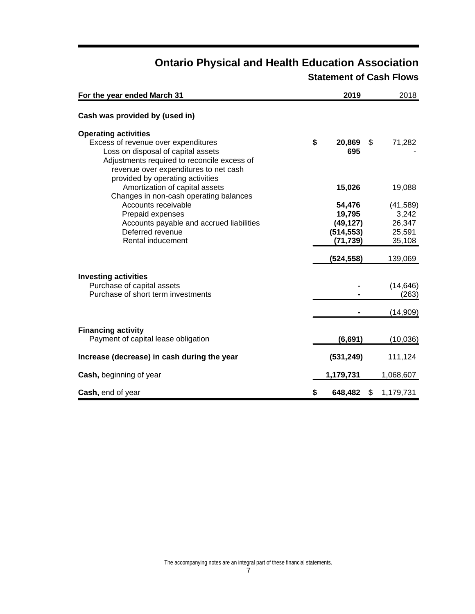## **Ontario Physical and Health Education Association**

**Statement of Cash Flows**

| For the year ended March 31                                               | 2019                | 2018            |
|---------------------------------------------------------------------------|---------------------|-----------------|
| Cash was provided by (used in)                                            |                     |                 |
| <b>Operating activities</b>                                               |                     |                 |
| Excess of revenue over expenditures<br>Loss on disposal of capital assets | \$<br>20,869<br>695 | \$<br>71,282    |
| Adjustments required to reconcile excess of                               |                     |                 |
| revenue over expenditures to net cash                                     |                     |                 |
| provided by operating activities<br>Amortization of capital assets        | 15,026              | 19,088          |
| Changes in non-cash operating balances                                    |                     |                 |
| Accounts receivable                                                       | 54,476              | (41, 589)       |
| Prepaid expenses                                                          | 19,795              | 3,242           |
| Accounts payable and accrued liabilities                                  | (49, 127)           | 26,347          |
| Deferred revenue                                                          | (514, 553)          | 25,591          |
| Rental inducement                                                         | (71, 739)           | 35,108          |
|                                                                           | (524, 558)          | 139,069         |
|                                                                           |                     |                 |
| <b>Investing activities</b>                                               |                     |                 |
| Purchase of capital assets<br>Purchase of short term investments          |                     | (14, 646)       |
|                                                                           |                     | (263)           |
|                                                                           |                     | (14,909)        |
|                                                                           |                     |                 |
| <b>Financing activity</b><br>Payment of capital lease obligation          | (6, 691)            | (10,036)        |
|                                                                           |                     |                 |
| Increase (decrease) in cash during the year                               | (531, 249)          | 111,124         |
| Cash, beginning of year                                                   | 1,179,731           | 1,068,607       |
| Cash, end of year                                                         | \$<br>648,482       | \$<br>1,179,731 |

The accompanying notes are an integral part of these financial statements.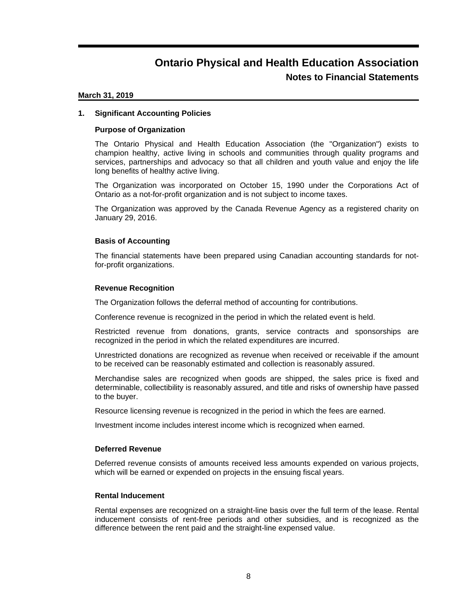#### **March 31, 2019**

#### **1. Significant Accounting Policies**

#### **Purpose of Organization**

The Ontario Physical and Health Education Association (the "Organization") exists to champion healthy, active living in schools and communities through quality programs and services, partnerships and advocacy so that all children and youth value and enjoy the life long benefits of healthy active living.

The Organization was incorporated on October 15, 1990 under the Corporations Act of Ontario as a not-for-profit organization and is not subject to income taxes.

The Organization was approved by the Canada Revenue Agency as a registered charity on January 29, 2016.

#### **Basis of Accounting**

The financial statements have been prepared using Canadian accounting standards for notfor-profit organizations.

#### **Revenue Recognition**

The Organization follows the deferral method of accounting for contributions.

Conference revenue is recognized in the period in which the related event is held.

Restricted revenue from donations, grants, service contracts and sponsorships are recognized in the period in which the related expenditures are incurred.

Unrestricted donations are recognized as revenue when received or receivable if the amount to be received can be reasonably estimated and collection is reasonably assured.

Merchandise sales are recognized when goods are shipped, the sales price is fixed and determinable, collectibility is reasonably assured, and title and risks of ownership have passed to the buyer.

Resource licensing revenue is recognized in the period in which the fees are earned.

Investment income includes interest income which is recognized when earned.

#### **Deferred Revenue**

Deferred revenue consists of amounts received less amounts expended on various projects, which will be earned or expended on projects in the ensuing fiscal years.

#### **Rental Inducement**

Rental expenses are recognized on a straight-line basis over the full term of the lease. Rental inducement consists of rent-free periods and other subsidies, and is recognized as the difference between the rent paid and the straight-line expensed value.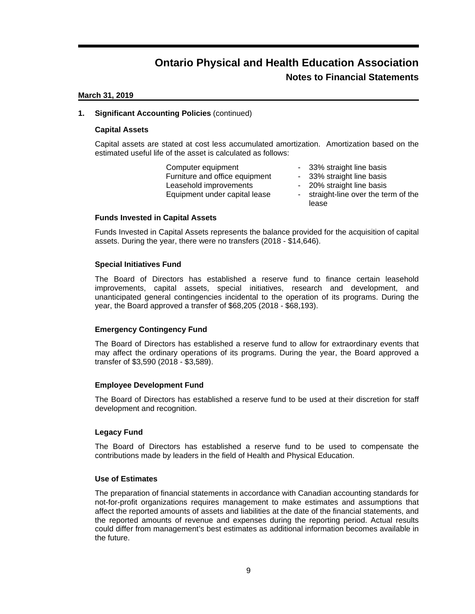#### **March 31, 2019**

#### **1. Significant Accounting Policies** (continued)

#### **Capital Assets**

Capital assets are stated at cost less accumulated amortization. Amortization based on the estimated useful life of the asset is calculated as follows:

> Computer equipment - 33% straight line basis<br>
> Furniture and office equipment - 33% straight line basis Furniture and office equipment - 33% straight line basis Leasehold improvements - 20% straight line basis

- 
- 
- 
- Equipment under capital lease  $\qquad \qquad$  straight-line over the term of the lease

#### **Funds Invested in Capital Assets**

Funds Invested in Capital Assets represents the balance provided for the acquisition of capital assets. During the year, there were no transfers (2018 - \$14,646).

#### **Special Initiatives Fund**

The Board of Directors has established a reserve fund to finance certain leasehold improvements, capital assets, special initiatives, research and development, and unanticipated general contingencies incidental to the operation of its programs. During the year, the Board approved a transfer of \$68,205 (2018 - \$68,193).

#### **Emergency Contingency Fund**

The Board of Directors has established a reserve fund to allow for extraordinary events that may affect the ordinary operations of its programs. During the year, the Board approved a transfer of \$3,590 (2018 - \$3,589).

#### **Employee Development Fund**

The Board of Directors has established a reserve fund to be used at their discretion for staff development and recognition.

#### **Legacy Fund**

The Board of Directors has established a reserve fund to be used to compensate the contributions made by leaders in the field of Health and Physical Education.

#### **Use of Estimates**

The preparation of financial statements in accordance with Canadian accounting standards for not-for-profit organizations requires management to make estimates and assumptions that affect the reported amounts of assets and liabilities at the date of the financial statements, and the reported amounts of revenue and expenses during the reporting period. Actual results could differ from management's best estimates as additional information becomes available in the future.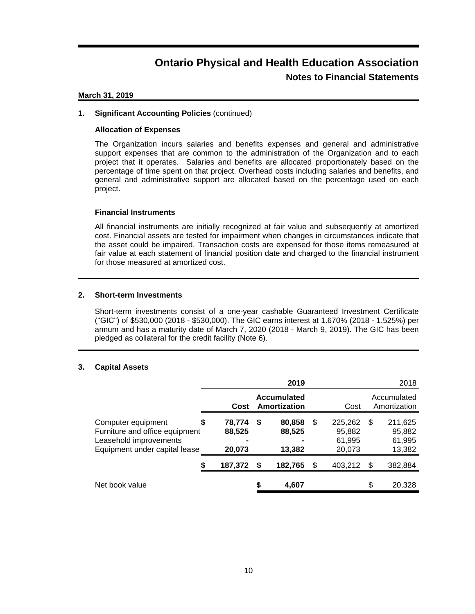#### **March 31, 2019**

#### **1. Significant Accounting Policies** (continued)

#### **Allocation of Expenses**

The Organization incurs salaries and benefits expenses and general and administrative support expenses that are common to the administration of the Organization and to each project that it operates. Salaries and benefits are allocated proportionately based on the percentage of time spent on that project. Overhead costs including salaries and benefits, and general and administrative support are allocated based on the percentage used on each project.

#### **Financial Instruments**

All financial instruments are initially recognized at fair value and subsequently at amortized cost. Financial assets are tested for impairment when changes in circumstances indicate that the asset could be impaired. Transaction costs are expensed for those items remeasured at fair value at each statement of financial position date and charged to the financial instrument for those measured at amortized cost.

#### **2. Short-term Investments**

Short-term investments consist of a one-year cashable Guaranteed Investment Certificate ("GIC") of \$530,000 (2018 - \$530,000). The GIC earns interest at 1.670% (2018 - 1.525%) per annum and has a maturity date of March 7, 2020 (2018 - March 9, 2019). The GIC has been pledged as collateral for the credit facility (Note 6).

#### **3. Capital Assets**

|                                                                                                                 |   |                                              |    | 2019                               |   |                                       |    | 2018                                  |  |
|-----------------------------------------------------------------------------------------------------------------|---|----------------------------------------------|----|------------------------------------|---|---------------------------------------|----|---------------------------------------|--|
|                                                                                                                 |   | Cost                                         |    | <b>Accumulated</b><br>Amortization |   | Cost                                  |    | Accumulated<br>Amortization           |  |
| Computer equipment<br>Furniture and office equipment<br>Leasehold improvements<br>Equipment under capital lease | S | 78,774<br>88,525<br>$\blacksquare$<br>20,073 | \$ | 80,858<br>88,525<br>13,382         | S | 225,262<br>95,882<br>61,995<br>20,073 | \$ | 211,625<br>95,882<br>61,995<br>13,382 |  |
|                                                                                                                 |   | 187,372                                      | S  | 182,765                            | S | 403,212                               | S  | 382,884                               |  |
| Net book value                                                                                                  |   |                                              | \$ | 4,607                              |   |                                       | \$ | 20,328                                |  |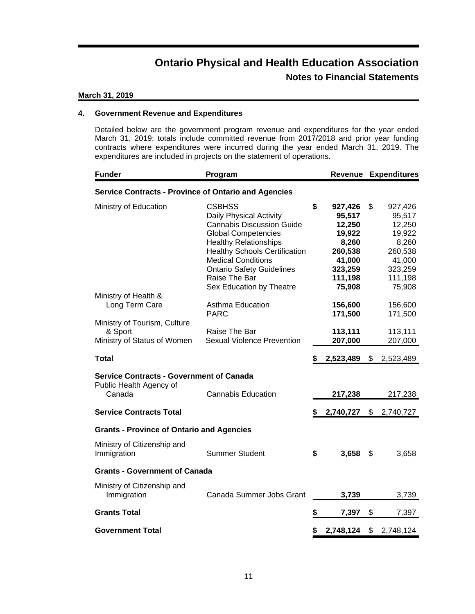#### **March 31, 2019**

#### **4. Government Revenue and Expenditures**

Detailed below are the government program revenue and expenditures for the year ended March 31, 2019; totals include committed revenue from 2017/2018 and prior year funding contracts where expenditures were incurred during the year ended March 31, 2019. The expenditures are included in projects on the statement of operations.

| <b>Funder</b>                                                                        | Program                                                                                                                                                                                                                                                                                          |    |                                                                                                     | <b>Revenue Expenditures</b> |                                                                                                     |
|--------------------------------------------------------------------------------------|--------------------------------------------------------------------------------------------------------------------------------------------------------------------------------------------------------------------------------------------------------------------------------------------------|----|-----------------------------------------------------------------------------------------------------|-----------------------------|-----------------------------------------------------------------------------------------------------|
| <b>Service Contracts - Province of Ontario and Agencies</b>                          |                                                                                                                                                                                                                                                                                                  |    |                                                                                                     |                             |                                                                                                     |
| Ministry of Education                                                                | <b>CSBHSS</b><br>Daily Physical Activity<br><b>Cannabis Discussion Guide</b><br><b>Global Competencies</b><br><b>Healthy Relationships</b><br><b>Healthy Schools Certification</b><br><b>Medical Conditions</b><br><b>Ontario Safety Guidelines</b><br>Raise The Bar<br>Sex Education by Theatre | \$ | 927,426<br>95,517<br>12,250<br>19,922<br>8,260<br>260,538<br>41,000<br>323,259<br>111,198<br>75,908 | \$                          | 927,426<br>95,517<br>12,250<br>19,922<br>8,260<br>260,538<br>41,000<br>323,259<br>111,198<br>75,908 |
| Ministry of Health &<br>Long Term Care                                               | <b>Asthma Education</b><br><b>PARC</b>                                                                                                                                                                                                                                                           |    | 156,600<br>171,500                                                                                  |                             | 156,600<br>171,500                                                                                  |
| Ministry of Tourism, Culture<br>& Sport<br>Ministry of Status of Women               | Raise The Bar<br><b>Sexual Violence Prevention</b>                                                                                                                                                                                                                                               |    | 113,111<br>207,000                                                                                  |                             | 113,111<br>207,000                                                                                  |
| <b>Total</b>                                                                         |                                                                                                                                                                                                                                                                                                  |    | 2,523,489                                                                                           | \$                          | 2,523,489                                                                                           |
| <b>Service Contracts - Government of Canada</b><br>Public Health Agency of<br>Canada | <b>Cannabis Education</b>                                                                                                                                                                                                                                                                        |    | 217,238                                                                                             |                             | 217,238                                                                                             |
| <b>Service Contracts Total</b>                                                       |                                                                                                                                                                                                                                                                                                  | S  | 2,740,727                                                                                           | \$                          | 2,740,727                                                                                           |
| <b>Grants - Province of Ontario and Agencies</b>                                     |                                                                                                                                                                                                                                                                                                  |    |                                                                                                     |                             |                                                                                                     |
| Ministry of Citizenship and<br>Immigration                                           | <b>Summer Student</b>                                                                                                                                                                                                                                                                            | \$ | 3,658                                                                                               | \$                          | 3,658                                                                                               |
| <b>Grants - Government of Canada</b>                                                 |                                                                                                                                                                                                                                                                                                  |    |                                                                                                     |                             |                                                                                                     |
| Ministry of Citizenship and<br>Immigration                                           | Canada Summer Jobs Grant                                                                                                                                                                                                                                                                         |    | 3,739                                                                                               |                             | 3,739                                                                                               |
| <b>Grants Total</b>                                                                  |                                                                                                                                                                                                                                                                                                  | \$ | 7,397                                                                                               | \$                          | 7,397                                                                                               |
| <b>Government Total</b>                                                              |                                                                                                                                                                                                                                                                                                  | \$ | 2,748,124                                                                                           | \$                          | 2,748,124                                                                                           |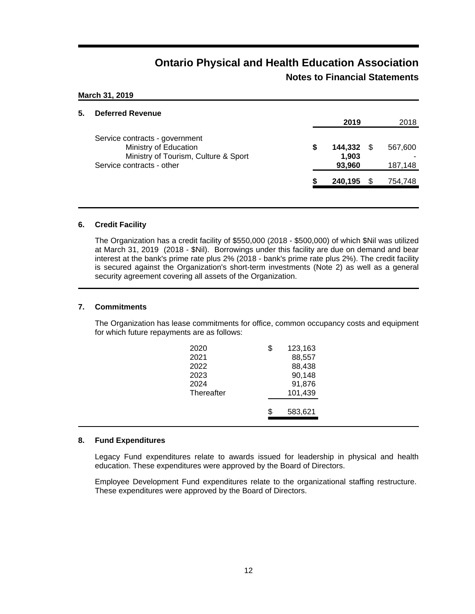### **Ontario Physical and Health Education Association**

**Notes to Financial Statements**

#### **March 31, 2019**

| <b>Deferred Revenue</b>                                                                                                      |   |                 |      |                    |  |  |  |  |
|------------------------------------------------------------------------------------------------------------------------------|---|-----------------|------|--------------------|--|--|--|--|
|                                                                                                                              |   | 2019            |      | 2018               |  |  |  |  |
| Service contracts - government<br>Ministry of Education<br>Ministry of Tourism, Culture & Sport<br>Service contracts - other | S | 1,903<br>93,960 | - \$ | 567,600<br>187,148 |  |  |  |  |
|                                                                                                                              |   | 240,195         |      | 754,748            |  |  |  |  |
|                                                                                                                              |   |                 |      | 144,332            |  |  |  |  |

#### **6. Credit Facility**

The Organization has a credit facility of \$550,000 (2018 - \$500,000) of which \$Nil was utilized at March 31, 2019 (2018 - \$Nil). Borrowings under this facility are due on demand and bear interest at the bank's prime rate plus 2% (2018 - bank's prime rate plus 2%). The credit facility is secured against the Organization's short-term investments (Note 2) as well as a general security agreement covering all assets of the Organization.

#### **7. Commitments**

The Organization has lease commitments for office, common occupancy costs and equipment for which future repayments are as follows:

| 2020       | \$<br>123,163 |
|------------|---------------|
| 2021       | 88,557        |
| 2022       | 88,438        |
| 2023       | 90,148        |
| 2024       | 91,876        |
| Thereafter | 101,439       |
|            |               |
|            | \$<br>583,621 |
|            |               |

#### **8. Fund Expenditures**

Legacy Fund expenditures relate to awards issued for leadership in physical and health education. These expenditures were approved by the Board of Directors.

Employee Development Fund expenditures relate to the organizational staffing restructure. These expenditures were approved by the Board of Directors.